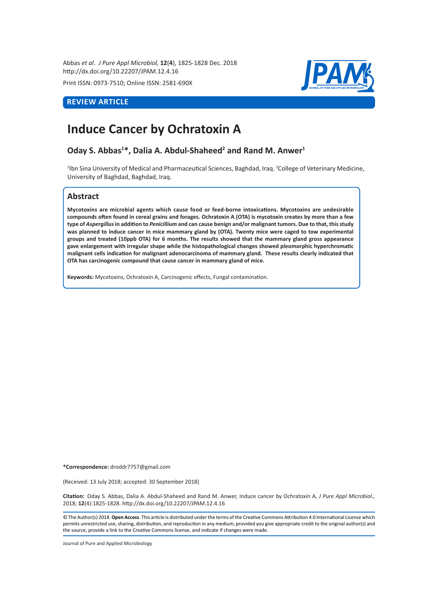Abbas *et al*. *J Pure Appl Microbiol,* **12**(**4**), 1825-1828 Dec. 2018 http://dx.doi.org/10.22207/JPAM.12.4.16

Print ISSN: 0973-7510; Online ISSN: 2581-690X

# **REVIEW ARTICLE**



# **Induce Cancer by Ochratoxin A**

**Oday S. Abbas<sup>1\*</sup>, Dalia A. Abdul-Shaheed<sup>2</sup> and Rand M. Anwer<sup>1</sup>** 

<sup>1</sup>lbn Sina University of Medical and Pharmaceutical Sciences, Baghdad, Iraq. <sup>2</sup>College of Veterinary Medicine, University of Baghdad, Baghdad, Iraq.

# **Abstract**

**Mycotoxins are microbial agents which cause food or feed-borne intoxications. Mycotoxins are undesirable compounds often found in cereal grains and forages. Ochratoxin A (OTA) is mycotoxin creates by more than a few type of** *Aspergillus* **in addition to** *Penicillium* **and can cause benign and/or malignant tumors. Due to that, this study was planned to induce cancer in mice mammary gland by (OTA). Twenty mice were caged to tow experimental groups and treated (10ppb OTA) for 6 months. The results showed that the mammary gland gross appearance gave enlargement with irregular shape while the histopathological changes showed pleomorphic hyperchromatic malignant cells indication for malignant adenocarcinoma of mammary gland. These results clearly indicated that OTA has carcinogenic compound that cause cancer in mammary gland of mice.** 

**Keywords:** Mycotoxins, Ochratoxin A, Carcinogenic effects, Fungal contamination.

**\*Correspondence:** droddr7757@gmail.com

(Received: 13 July 2018; accepted: 30 September 2018)

**Citation:**  Oday S. Abbas, Dalia A. Abdul-Shaheed and Rand M. Anwer, Induce cancer by Ochratoxin A, *J Pure Appl Microbiol.,* 2018; **12**(4):1825-1828. http://dx.doi.org/10.22207/JPAM.12.4.16

© The Author(s) 2018. **Open Access**. This article is distributed under the terms of the Creative Commons Attribution 4.0 International License which permits unrestricted use, sharing, distribution, and reproduction in any medium, provided you give appropriate credit to the original author(s) and the source, provide a link to the Creative Commons license, and indicate if changes were made.

Journal of Pure and Applied Microbiology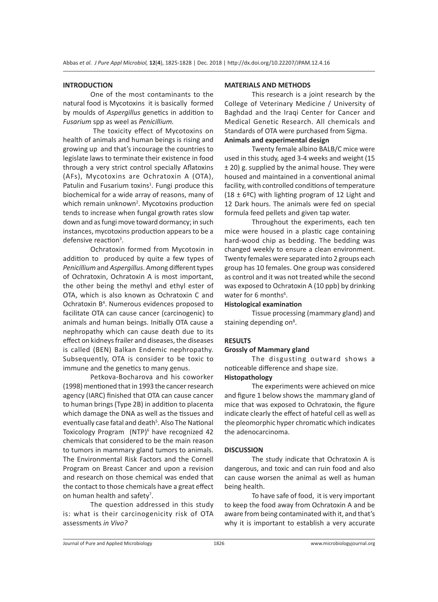#### **INTRODUCTION**

One of the most contaminants to the natural food is Mycotoxins it is basically formed by moulds of *Aspergillus* genetics in addition to *Fusarium* spp as weel as *Penicillium.* 

 The toxicity effect of Mycotoxins on health of animals and human beings is rising and growing up and that's incourage the countries to legislate laws to terminate their existence in food through a very strict control specially Aflatoxins (AFs), Mycotoxins are Ochratoxin A (OTA), Patulin and Fusarium toxins<sup>1</sup>. Fungi produce this biochemical for a wide array of reasons, many of which remain unknown<sup>2</sup>. Mycotoxins production tends to increase when fungal growth rates slow down and as fungi move toward dormancy; in such instances, mycotoxins production appears to be a defensive reaction<sup>3</sup>.

Ochratoxin formed from Mycotoxin in addition to produced by quite a few types of *Penicillium* and *Aspergillus*. Among different types of Ochratoxin, Ochratoxin A is most important, the other being the methyl and ethyl ester of OTA, which is also known as Ochratoxin C and Ochratoxin B<sup>4</sup>. Numerous evidences proposed to facilitate OTA can cause cancer (carcinogenic) to animals and human beings. Initially OTA cause a nephropathy which can cause death due to its effect on kidneys frailer and diseases, the diseases is called (BEN) Balkan Endemic nephropathy. Subsequently, OTA is consider to be toxic to immune and the genetics to many genus.

Petkova-Bocharova and his coworker (1998) mentioned that in 1993 the cancer research agency (IARC) finished that OTA can cause cancer to human brings (Type 2B) in addition to placenta which damage the DNA as well as the tissues and eventually case fatal and death<sup>5</sup>. Also The National Toxicology Program (NTP)<sup>6</sup> have recognized 42 chemicals that considered to be the main reason to tumors in mammary gland tumors to animals. The Environmental Risk Factors and the Cornell Program on Breast Cancer and upon a revision and research on those chemical was ended that the contact to those chemicals have a great effect on human health and safety<sup>7</sup>.

The question addressed in this study is: what is their carcinogenicity risk of OTA assessments *in Vivo?*

## **MATERIALS AND METHODS**

This research is a joint research by the College of Veterinary Medicine / University of Baghdad and the Iraqi Center for Cancer and Medical Genetic Research. All chemicals and Standards of OTA were purchased from Sigma.

# **Animals and experimental design**

Twenty female albino BALB/C mice were used in this study, aged 3-4 weeks and weight (15 ± 20) g. supplied by the animal house. They were housed and maintained in a conventional animal facility, with controlled conditions of temperature (18  $\pm$  6°C) with lighting program of 12 Light and 12 Dark hours. The animals were fed on special formula feed pellets and given tap water.

Throughout the experiments, each ten mice were housed in a plastic cage containing hard-wood chip as bedding. The bedding was changed weekly to ensure a clean environment. Twenty females were separated into 2 groups each group has 10 females. One group was considered as control and it was not treated while the second was exposed to Ochratoxin A (10 ppb) by drinking water for 6 months<sup>6</sup>.

#### **Histological examination**

Tissue processing (mammary gland) and staining depending on<sup>8</sup>.

## **RESULTS**

#### **Grossly of Mammary gland**

The disgusting outward shows a noticeable difference and shape size.

#### **Histopathology**

The experiments were achieved on mice and figure 1 below shows the mammary gland of mice that was exposed to Ochratoxin, the figure indicate clearly the effect of hateful cell as well as the pleomorphic hyper chromatic which indicates the adenocarcinoma.

#### **DISCUSSION**

The study indicate that Ochratoxin A is dangerous, and toxic and can ruin food and also can cause worsen the animal as well as human being health.

To have safe of food, it is very important to keep the food away from Ochratoxin A and be aware from being contaminated with it, and that's why it is important to establish a very accurate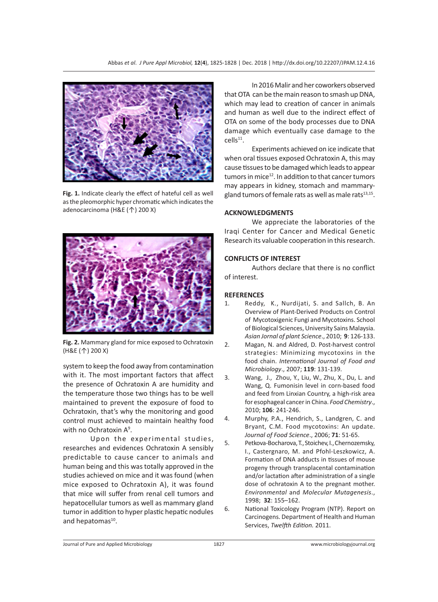

**Fig. 1.** Indicate clearly the effect of hateful cell as well as the pleomorphic hyper chromatic which indicates the adenocarcinoma (H&E (↑) 200 X)



**Fig. 2.** Mammary gland for mice exposed to Ochratoxin (H&E (↑) 200 X)

system to keep the food away from contamination with it. The most important factors that affect the presence of Ochratoxin A are humidity and the temperature those two things has to be well maintained to prevent the exposure of food to Ochratoxin, that's why the monitoring and good control must achieved to maintain healthy food with no Ochratoxin A<sup>9</sup>.

Upon the experimental studies, researches and evidences Ochratoxin A sensibly predictable to cause cancer to animals and human being and this was totally approved in the studies achieved on mice and it was found (when mice exposed to Ochratoxin A), it was found that mice will suffer from renal cell tumors and hepatocellular tumors as well as mammary gland tumor in addition to hyper plastic hepatic nodules and hepatomas $^{10}$ .

In 2016 Malir and her coworkers observed that OTA can be the main reason to smash up DNA, which may lead to creation of cancer in animals and human as well due to the indirect effect of OTA on some of the body processes due to DNA damage which eventually case damage to the  $cells<sup>11</sup>$ .

Experiments achieved on ice indicate that when oral tissues exposed Ochratoxin A, this may cause tissues to be damaged which leads to appear tumors in mice $12$ . In addition to that cancer tumors may appears in kidney, stomach and mammarygland tumors of female rats as well as male rats $13,15$ .

## **ACKNOWLEDGMENTS**

We appreciate the laboratories of the Iraqi Center for Cancer and Medical Genetic Research its valuable cooperation in this research.

## **CONFLICTS OF INTEREST**

Authors declare that there is no conflict of interest.

# **REFERENCES**

- 1. Reddy, K., Nurdijati, S. and Sallch, B. An Overview of Plant-Derived Products on Control of Mycotoxigenic Fungi and Mycotoxins. School of Biological Sciences, University Sains Malaysia. *Asian Jornal of plant Science*., 2010; **9**: 126-133.
- 2. Magan, N. and Aldred, D. Post-harvest control strategies: Minimizing mycotoxins in the food chain. *International Journal of Food and Microbiology*., 2007; **119**: 131-139.
- 3. Wang, J., Zhou, Y., Liu, W., Zhu, X., Du, L. and Wang, Q. Fumonisin level in corn-based food and feed from Linxian Country, a high-risk area for esophageal cancer in China. *Food Chemistry*., 2010; **106**: 241-246.
- 4. Murphy, P.A., Hendrich, S., Landgren, C. and Bryant, C.M. Food mycotoxins: An update. *Journal of Food Science*., 2006; **71**: 51-65.
- 5. Petkova-Bocharova, T., Stoichev, I., Chernozemsky, I., Castergnaro, M. and Pfohl-Leszkowicz, A. Formation of DNA adducts in tissues of mouse progeny through transplacental contamination and/or lactation after administration of a single dose of ochratoxin A to the pregnant mother. *Environmental* and *Molecular Mutagenesis*., 1998; **32**: 155–162.
- 6. National Toxicology Program (NTP). Report on Carcinogens. Department of Health and Human Services, *Twelfth Edition.* 2011.

Journal of Pure and Applied Microbiology 1827 www.microbiologyjournal.org